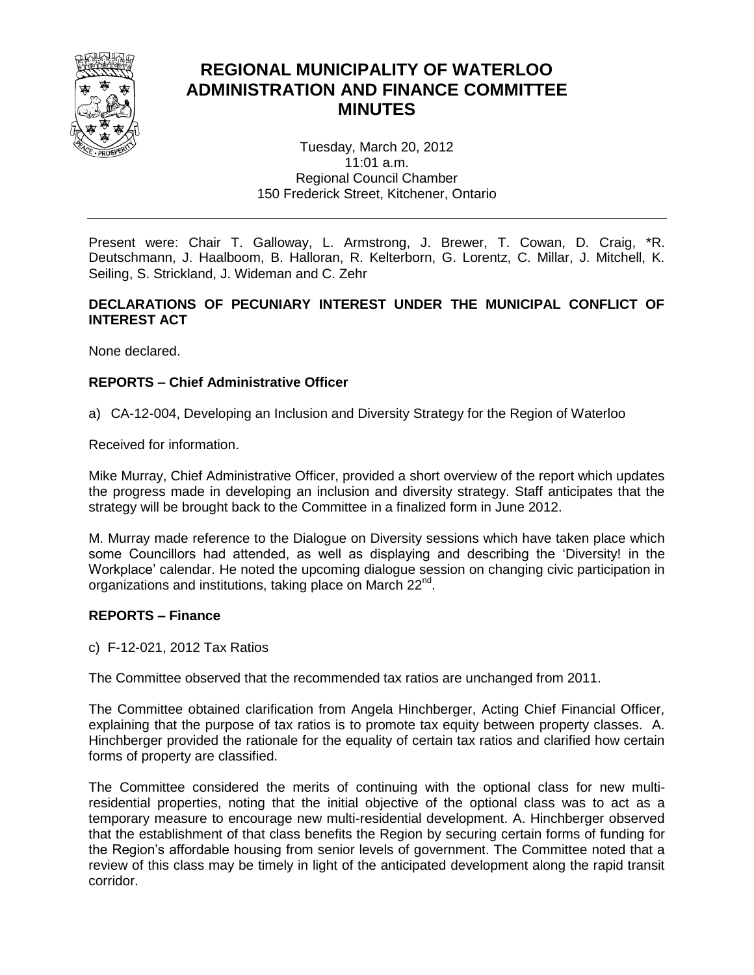

# **REGIONAL MUNICIPALITY OF WATERLOO ADMINISTRATION AND FINANCE COMMITTEE MINUTES**

Tuesday, March 20, 2012 11:01 a.m. Regional Council Chamber 150 Frederick Street, Kitchener, Ontario

Present were: Chair T. Galloway, L. Armstrong, J. Brewer, T. Cowan, D. Craig, \*R. Deutschmann, J. Haalboom, B. Halloran, R. Kelterborn, G. Lorentz, C. Millar, J. Mitchell, K. Seiling, S. Strickland, J. Wideman and C. Zehr

### **DECLARATIONS OF PECUNIARY INTEREST UNDER THE MUNICIPAL CONFLICT OF INTEREST ACT**

None declared.

## **REPORTS – Chief Administrative Officer**

a) CA-12-004, Developing an Inclusion and Diversity Strategy for the Region of Waterloo

Received for information.

Mike Murray, Chief Administrative Officer, provided a short overview of the report which updates the progress made in developing an inclusion and diversity strategy. Staff anticipates that the strategy will be brought back to the Committee in a finalized form in June 2012.

M. Murray made reference to the Dialogue on Diversity sessions which have taken place which some Councillors had attended, as well as displaying and describing the 'Diversity! in the Workplace' calendar. He noted the upcoming dialogue session on changing civic participation in organizations and institutions, taking place on March 22<sup>nd</sup>.

#### **REPORTS – Finance**

c) F-12-021, 2012 Tax Ratios

The Committee observed that the recommended tax ratios are unchanged from 2011.

The Committee obtained clarification from Angela Hinchberger, Acting Chief Financial Officer, explaining that the purpose of tax ratios is to promote tax equity between property classes. A. Hinchberger provided the rationale for the equality of certain tax ratios and clarified how certain forms of property are classified.

The Committee considered the merits of continuing with the optional class for new multiresidential properties, noting that the initial objective of the optional class was to act as a temporary measure to encourage new multi-residential development. A. Hinchberger observed that the establishment of that class benefits the Region by securing certain forms of funding for the Region's affordable housing from senior levels of government. The Committee noted that a review of this class may be timely in light of the anticipated development along the rapid transit corridor.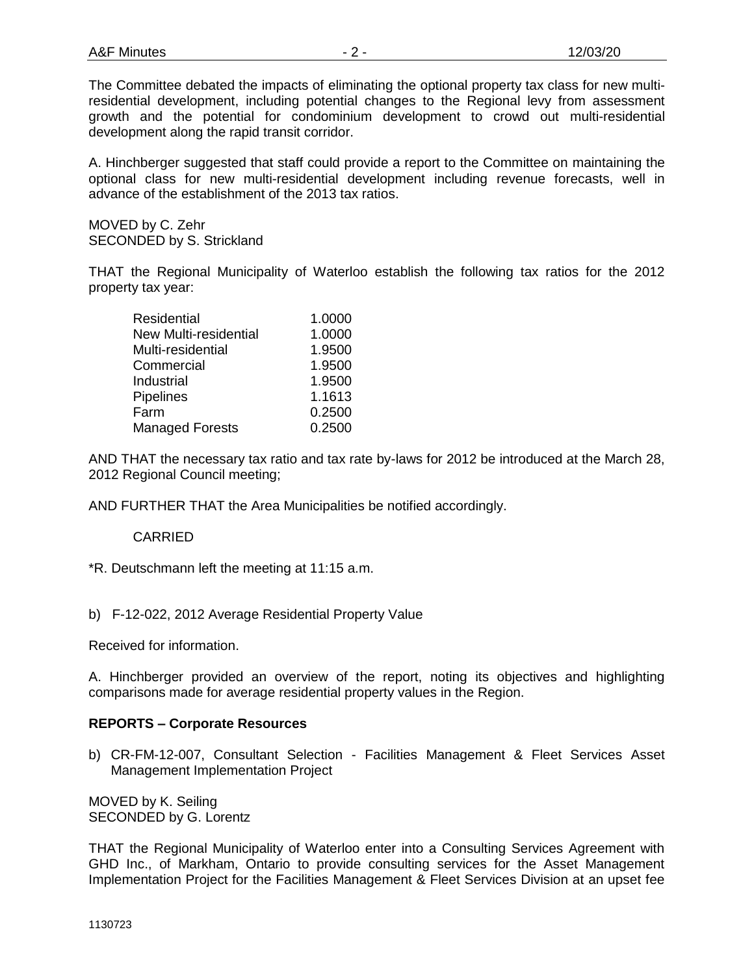The Committee debated the impacts of eliminating the optional property tax class for new multiresidential development, including potential changes to the Regional levy from assessment growth and the potential for condominium development to crowd out multi-residential development along the rapid transit corridor.

A. Hinchberger suggested that staff could provide a report to the Committee on maintaining the optional class for new multi-residential development including revenue forecasts, well in advance of the establishment of the 2013 tax ratios.

MOVED by C. Zehr SECONDED by S. Strickland

THAT the Regional Municipality of Waterloo establish the following tax ratios for the 2012 property tax year:

| <b>Residential</b>           | 1.0000 |
|------------------------------|--------|
| <b>New Multi-residential</b> | 1.0000 |
| Multi-residential            | 1.9500 |
| Commercial                   | 1.9500 |
| Industrial                   | 1.9500 |
| <b>Pipelines</b>             | 1.1613 |
| Farm                         | 0.2500 |
| <b>Managed Forests</b>       | 0.2500 |

AND THAT the necessary tax ratio and tax rate by-laws for 2012 be introduced at the March 28, 2012 Regional Council meeting;

AND FURTHER THAT the Area Municipalities be notified accordingly.

# CARRIED

\*R. Deutschmann left the meeting at 11:15 a.m.

b) F-12-022, 2012 Average Residential Property Value

Received for information.

A. Hinchberger provided an overview of the report, noting its objectives and highlighting comparisons made for average residential property values in the Region.

#### **REPORTS – Corporate Resources**

b) CR-FM-12-007, Consultant Selection - Facilities Management & Fleet Services Asset Management Implementation Project

MOVED by K. Seiling SECONDED by G. Lorentz

THAT the Regional Municipality of Waterloo enter into a Consulting Services Agreement with GHD Inc., of Markham, Ontario to provide consulting services for the Asset Management Implementation Project for the Facilities Management & Fleet Services Division at an upset fee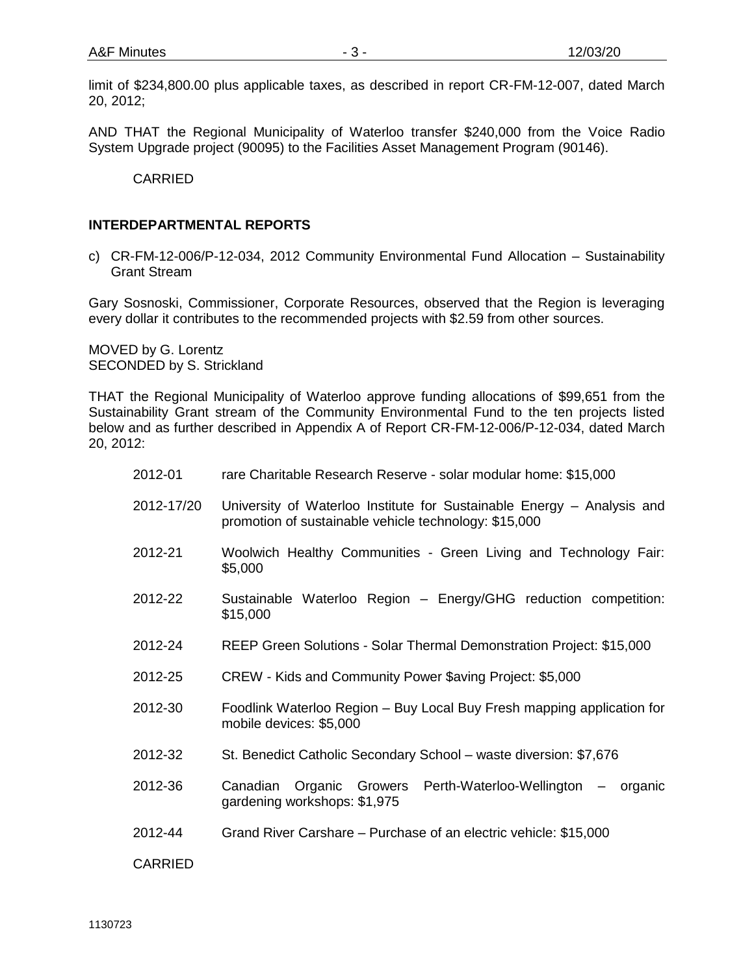limit of \$234,800.00 plus applicable taxes, as described in report CR-FM-12-007, dated March 20, 2012;

AND THAT the Regional Municipality of Waterloo transfer \$240,000 from the Voice Radio System Upgrade project (90095) to the Facilities Asset Management Program (90146).

CARRIED

#### **INTERDEPARTMENTAL REPORTS**

c) CR-FM-12-006/P-12-034, 2012 Community Environmental Fund Allocation – Sustainability Grant Stream

Gary Sosnoski, Commissioner, Corporate Resources, observed that the Region is leveraging every dollar it contributes to the recommended projects with \$2.59 from other sources.

MOVED by G. Lorentz SECONDED by S. Strickland

THAT the Regional Municipality of Waterloo approve funding allocations of \$99,651 from the Sustainability Grant stream of the Community Environmental Fund to the ten projects listed below and as further described in Appendix A of Report CR-FM-12-006/P-12-034, dated March 20, 2012:

| 2012-01        | rare Charitable Research Reserve - solar modular home: \$15,000                                                                 |
|----------------|---------------------------------------------------------------------------------------------------------------------------------|
| 2012-17/20     | University of Waterloo Institute for Sustainable Energy – Analysis and<br>promotion of sustainable vehicle technology: \$15,000 |
| 2012-21        | Woolwich Healthy Communities - Green Living and Technology Fair:<br>\$5,000                                                     |
| 2012-22        | Sustainable Waterloo Region - Energy/GHG reduction competition:<br>\$15,000                                                     |
| 2012-24        | REEP Green Solutions - Solar Thermal Demonstration Project: \$15,000                                                            |
| 2012-25        | CREW - Kids and Community Power \$aving Project: \$5,000                                                                        |
| 2012-30        | Foodlink Waterloo Region - Buy Local Buy Fresh mapping application for<br>mobile devices: \$5,000                               |
| 2012-32        | St. Benedict Catholic Secondary School - waste diversion: \$7,676                                                               |
| 2012-36        | Canadian Organic Growers Perth-Waterloo-Wellington – organic<br>gardening workshops: \$1,975                                    |
| 2012-44        | Grand River Carshare – Purchase of an electric vehicle: \$15,000                                                                |
| <b>CARRIED</b> |                                                                                                                                 |